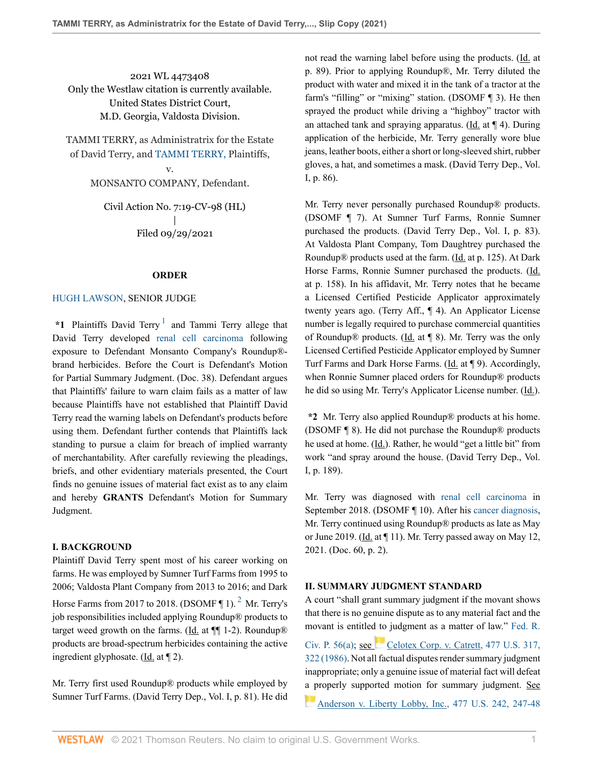2021 WL 4473408 Only the Westlaw citation is currently available. United States District Court, M.D. Georgia, Valdosta Division.

TAMMI TERRY, as Administratrix for the Estate of David Terry, and [TAMMI TERRY, P](http://www.westlaw.com/Search/Results.html?query=advanced%3a+WCAID(1d3d6a57a2924b3ab23f6f808af4c550)&saveJuris=False&contentType=BUSINESS-INVESTIGATOR&startIndex=1&contextData=(sc.Default)&categoryPageUrl=Home%2fCompanyInvestigator&originationContext=document&vr=3.0&rs=cblt1.0&transitionType=DocumentItem)laintiffs,

> v. MONSANTO COMPANY, Defendant.

Civil Action No. 7:19-CV-98 (HL) | Filed 09/29/2021

#### <span id="page-0-0"></span>**ORDER**

### [HUGH LAWSON](http://www.westlaw.com/Link/Document/FullText?findType=h&pubNum=176284&cite=0219238001&originatingDoc=I702b22d0226111ec8937b98eb322286f&refType=RQ&originationContext=document&vr=3.0&rs=cblt1.0&transitionType=DocumentItem&contextData=(sc.Search)), SENIOR JUDGE

\*[1](#page-3-0) Plaintiffs David Terry<sup>1</sup> and Tammi Terry allege that David Terry developed [renal cell carcinoma](http://www.westlaw.com/Link/Document/FullText?entityType=disease&entityId=Ic6871d2c475411db9765f9243f53508a&originationContext=document&transitionType=DocumentItem&contextData=(sc.Default)&vr=3.0&rs=cblt1.0) following exposure to Defendant Monsanto Company's Roundup® brand herbicides. Before the Court is Defendant's Motion for Partial Summary Judgment. (Doc. 38). Defendant argues that Plaintiffs' failure to warn claim fails as a matter of law because Plaintiffs have not established that Plaintiff David Terry read the warning labels on Defendant's products before using them. Defendant further contends that Plaintiffs lack standing to pursue a claim for breach of implied warranty of merchantability. After carefully reviewing the pleadings, briefs, and other evidentiary materials presented, the Court finds no genuine issues of material fact exist as to any claim and hereby **GRANTS** Defendant's Motion for Summary Judgment.

## **I. BACKGROUND**

Plaintiff David Terry spent most of his career working on farms. He was employed by Sumner Turf Farms from 1995 to 2006; Valdosta Plant Company from 2013 to 2016; and Dark Horse Farms from [2](#page-3-1)017 to 2018. (DSOMF  $\P$  1).<sup>2</sup> Mr. Terry's job responsibilities included applying Roundup® products to target weed growth on the farms. (Id. at  $\P$ [1-2). Roundup<sup>®</sup> products are broad-spectrum herbicides containing the active ingredient glyphosate. ( $\underline{Id}$ . at  $\P$  2).

Mr. Terry first used Roundup® products while employed by Sumner Turf Farms. (David Terry Dep., Vol. I, p. 81). He did not read the warning label before using the products. (Id. at p. 89). Prior to applying Roundup®, Mr. Terry diluted the product with water and mixed it in the tank of a tractor at the farm's "filling" or "mixing" station. (DSOMF ¶ 3). He then sprayed the product while driving a "highboy" tractor with an attached tank and spraying apparatus. (Id. at ¶ 4). During application of the herbicide, Mr. Terry generally wore blue jeans, leather boots, either a short or long-sleeved shirt, rubber gloves, a hat, and sometimes a mask. (David Terry Dep., Vol. I, p. 86).

Mr. Terry never personally purchased Roundup® products. (DSOMF ¶ 7). At Sumner Turf Farms, Ronnie Sumner purchased the products. (David Terry Dep., Vol. I, p. 83). At Valdosta Plant Company, Tom Daughtrey purchased the Roundup® products used at the farm. (Id. at p. 125). At Dark Horse Farms, Ronnie Sumner purchased the products. (Id. at p. 158). In his affidavit, Mr. Terry notes that he became a Licensed Certified Pesticide Applicator approximately twenty years ago. (Terry Aff., ¶ 4). An Applicator License number is legally required to purchase commercial quantities of Roundup® products. (Id. at  $\P$  8). Mr. Terry was the only Licensed Certified Pesticide Applicator employed by Sumner Turf Farms and Dark Horse Farms. (Id. at ¶ 9). Accordingly, when Ronnie Sumner placed orders for Roundup® products he did so using Mr. Terry's Applicator License number. (Id.).

**\*2** Mr. Terry also applied Roundup® products at his home. (DSOMF ¶ 8). He did not purchase the Roundup® products he used at home. (Id.). Rather, he would "get a little bit" from work "and spray around the house. (David Terry Dep., Vol. I, p. 189).

Mr. Terry was diagnosed with [renal cell carcinoma](http://www.westlaw.com/Link/Document/FullText?entityType=disease&entityId=Ic6871d2c475411db9765f9243f53508a&originationContext=document&transitionType=DocumentItem&contextData=(sc.Default)&vr=3.0&rs=cblt1.0) in September 2018. (DSOMF ¶ 10). After his [cancer diagnosis,](http://www.westlaw.com/Link/Document/FullText?entityType=mproc&entityId=Ic14ceaaf475411db9765f9243f53508a&originationContext=document&transitionType=DocumentItem&contextData=(sc.Default)&vr=3.0&rs=cblt1.0) Mr. Terry continued using Roundup® products as late as May or June 2019. ( $\underline{Id}$ . at  $\P$  11). Mr. Terry passed away on May 12, 2021. (Doc. 60, p. 2).

#### **II. SUMMARY JUDGMENT STANDARD**

<span id="page-0-1"></span>A court "shall grant summary judgment if the movant shows that there is no genuine dispute as to any material fact and the movant is entitled to judgment as a matter of law." [Fed. R.](http://www.westlaw.com/Link/Document/FullText?findType=L&pubNum=1000600&cite=USFRCPR56&originatingDoc=I702b22d0226111ec8937b98eb322286f&refType=LQ&originationContext=document&vr=3.0&rs=cblt1.0&transitionType=DocumentItem&contextData=(sc.Search)) Civ. P.  $56(a)$ ; see [Celotex Corp. v. Catrett, 477 U.S. 317,](http://www.westlaw.com/Link/Document/FullText?findType=Y&serNum=1986132677&pubNum=0000780&originatingDoc=I702b22d0226111ec8937b98eb322286f&refType=RP&fi=co_pp_sp_780_322&originationContext=document&vr=3.0&rs=cblt1.0&transitionType=DocumentItem&contextData=(sc.Search)#co_pp_sp_780_322) [322 \(1986\)](http://www.westlaw.com/Link/Document/FullText?findType=Y&serNum=1986132677&pubNum=0000780&originatingDoc=I702b22d0226111ec8937b98eb322286f&refType=RP&fi=co_pp_sp_780_322&originationContext=document&vr=3.0&rs=cblt1.0&transitionType=DocumentItem&contextData=(sc.Search)#co_pp_sp_780_322). Not all factual disputes render summary judgment inappropriate; only a genuine issue of material fact will defeat [a p](https://1.next.westlaw.com/Link/RelatedInformation/Flag?documentGuid=I3a8518e29c9d11d991d0cc6b54f12d4d&transitionType=InlineKeyCiteFlags&originationContext=docHeaderFlag&Rank=0&ppcid=1533d54308df4755a3b1437aae9fc4bf&contextData=(sc.Search) )roperly supported motion for summary judgment. See [Anderson v. Liberty Lobby, Inc., 477 U.S. 242, 247-48](http://www.westlaw.com/Link/Document/FullText?findType=Y&serNum=1986132674&pubNum=0000780&originatingDoc=I702b22d0226111ec8937b98eb322286f&refType=RP&fi=co_pp_sp_780_247&originationContext=document&vr=3.0&rs=cblt1.0&transitionType=DocumentItem&contextData=(sc.Search)#co_pp_sp_780_247)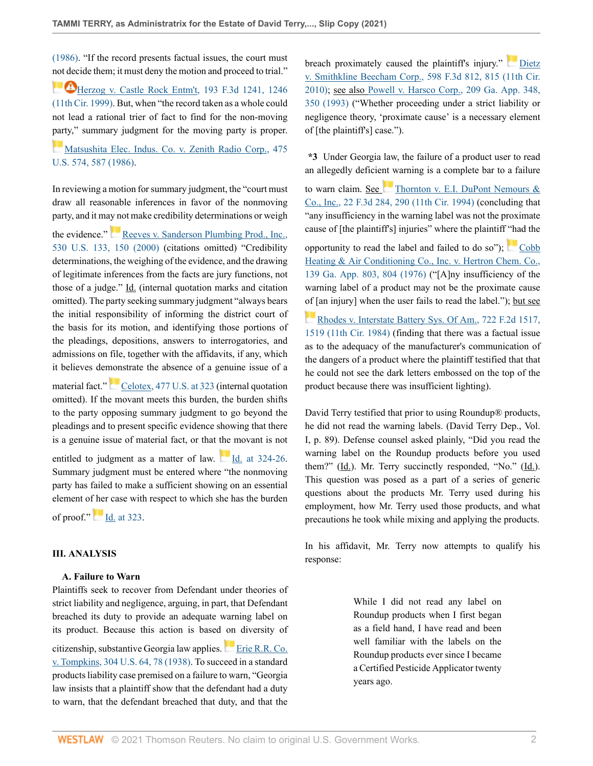[\(1986\).](http://www.westlaw.com/Link/Document/FullText?findType=Y&serNum=1986132674&pubNum=0000780&originatingDoc=I702b22d0226111ec8937b98eb322286f&refType=RP&fi=co_pp_sp_780_247&originationContext=document&vr=3.0&rs=cblt1.0&transitionType=DocumentItem&contextData=(sc.Search)#co_pp_sp_780_247) "If the record presents factual issues, the court must [not dec](https://1.next.westlaw.com/Link/RelatedInformation/Flag?documentGuid=I988fa61494b611d9bc61beebb95be672&transitionType=InlineKeyCiteFlags&originationContext=docHeaderFlag&Rank=0&ppcid=1533d54308df4755a3b1437aae9fc4bf&contextData=(sc.Search) )ide them; it must deny the motion and proceed to trial."

**[Herzog v. Castle Rock Entm't, 193 F.3d 1241, 1246](http://www.westlaw.com/Link/Document/FullText?findType=Y&serNum=1999241710&pubNum=0000506&originatingDoc=I702b22d0226111ec8937b98eb322286f&refType=RP&fi=co_pp_sp_506_1246&originationContext=document&vr=3.0&rs=cblt1.0&transitionType=DocumentItem&contextData=(sc.Search)#co_pp_sp_506_1246)** [\(11th Cir. 1999\)](http://www.westlaw.com/Link/Document/FullText?findType=Y&serNum=1999241710&pubNum=0000506&originatingDoc=I702b22d0226111ec8937b98eb322286f&refType=RP&fi=co_pp_sp_506_1246&originationContext=document&vr=3.0&rs=cblt1.0&transitionType=DocumentItem&contextData=(sc.Search)#co_pp_sp_506_1246). But, when "the record taken as a whole could not lead a rational trier of fact to find for the non-moving [part](https://1.next.westlaw.com/Link/RelatedInformation/Flag?documentGuid=I1d196aaa9c9711d993e6d35cc61aab4a&transitionType=InlineKeyCiteFlags&originationContext=docHeaderFlag&Rank=0&ppcid=1533d54308df4755a3b1437aae9fc4bf&contextData=(sc.Search) )y," summary judgment for the moving party is proper.

[Matsushita Elec. Indus. Co. v. Zenith Radio Corp., 475](http://www.westlaw.com/Link/Document/FullText?findType=Y&serNum=1986115992&pubNum=0000780&originatingDoc=I702b22d0226111ec8937b98eb322286f&refType=RP&fi=co_pp_sp_780_587&originationContext=document&vr=3.0&rs=cblt1.0&transitionType=DocumentItem&contextData=(sc.Search)#co_pp_sp_780_587) [U.S. 574, 587 \(1986\)](http://www.westlaw.com/Link/Document/FullText?findType=Y&serNum=1986115992&pubNum=0000780&originatingDoc=I702b22d0226111ec8937b98eb322286f&refType=RP&fi=co_pp_sp_780_587&originationContext=document&vr=3.0&rs=cblt1.0&transitionType=DocumentItem&contextData=(sc.Search)#co_pp_sp_780_587).

In reviewing a motion for summary judgment, the "court must draw all reasonable inferences in favor of the nonmoving party, and it may not make credibility determinations or weigh

the evidence." [Reeves v. Sanderson Plumbing Prod., Inc.,](http://www.westlaw.com/Link/Document/FullText?findType=Y&serNum=2000377873&pubNum=0000780&originatingDoc=I702b22d0226111ec8937b98eb322286f&refType=RP&fi=co_pp_sp_780_150&originationContext=document&vr=3.0&rs=cblt1.0&transitionType=DocumentItem&contextData=(sc.Search)#co_pp_sp_780_150) [530 U.S. 133, 150 \(2000\)](http://www.westlaw.com/Link/Document/FullText?findType=Y&serNum=2000377873&pubNum=0000780&originatingDoc=I702b22d0226111ec8937b98eb322286f&refType=RP&fi=co_pp_sp_780_150&originationContext=document&vr=3.0&rs=cblt1.0&transitionType=DocumentItem&contextData=(sc.Search)#co_pp_sp_780_150) (citations omitted) "Credibility determinations, the weighing of the evidence, and the drawing of legitimate inferences from the facts are jury functions, not those of a judge." Id. (internal quotation marks and citation omitted). The party seeking summary judgment "always bears the initial responsibility of informing the district court of the basis for its motion, and identifying those portions of the pleadings, depositions, answers to interrogatories, and admissions on file, together with the affidavits, if any, which it believes demonstrate the absence of a genuine issue of a

material fact."[Celotex, 477 U.S. at 323](http://www.westlaw.com/Link/Document/FullText?findType=Y&serNum=1986132677&pubNum=0000780&originatingDoc=I702b22d0226111ec8937b98eb322286f&refType=RP&fi=co_pp_sp_780_323&originationContext=document&vr=3.0&rs=cblt1.0&transitionType=DocumentItem&contextData=(sc.Search)#co_pp_sp_780_323) (internal quotation omitted). If the movant meets this burden, the burden shifts to the party opposing summary judgment to go beyond the pleadings and to present specific evidence showing that there is a genuine issue of material fact, or that the movant is not

entitled to judgment as a matter of law.  $\underline{Id}$  at 324-26. Summary judgment must be entered where "the nonmoving party has failed to make a sufficient showing on an essential element of her case with respect to which she has the burden

of proof."  $\boxed{\phantom{1}}$  [Id. at 323.](http://www.westlaw.com/Link/Document/FullText?findType=Y&serNum=1986132677&pubNum=0000780&originatingDoc=I702b22d0226111ec8937b98eb322286f&refType=RP&fi=co_pp_sp_780_323&originationContext=document&vr=3.0&rs=cblt1.0&transitionType=DocumentItem&contextData=(sc.Search)#co_pp_sp_780_323)

### **III. ANALYSIS**

#### **A. Failure to Warn**

Plaintiffs seek to recover from Defendant under theories of strict liability and negligence, arguing, in part, that Defendant breached its duty to provide an adequate warning label on its product. Because this action is based on diversity of

citizenship,substantive Georgia law applies. [Erie R.R. Co.](http://www.westlaw.com/Link/Document/FullText?findType=Y&serNum=1938121079&pubNum=0000780&originatingDoc=I702b22d0226111ec8937b98eb322286f&refType=RP&fi=co_pp_sp_780_78&originationContext=document&vr=3.0&rs=cblt1.0&transitionType=DocumentItem&contextData=(sc.Search)#co_pp_sp_780_78) [v. Tompkins, 304 U.S. 64, 78 \(1938\).](http://www.westlaw.com/Link/Document/FullText?findType=Y&serNum=1938121079&pubNum=0000780&originatingDoc=I702b22d0226111ec8937b98eb322286f&refType=RP&fi=co_pp_sp_780_78&originationContext=document&vr=3.0&rs=cblt1.0&transitionType=DocumentItem&contextData=(sc.Search)#co_pp_sp_780_78) To succeed in a standard products liability case premised on a failure to warn, "Georgia law insists that a plaintiff show that the defendant had a duty to warn, that the defendant breached that duty, and that the breach proximately caused the plaintiff's injury." [Dietz](http://www.westlaw.com/Link/Document/FullText?findType=Y&serNum=2021482566&pubNum=0000506&originatingDoc=I702b22d0226111ec8937b98eb322286f&refType=RP&fi=co_pp_sp_506_815&originationContext=document&vr=3.0&rs=cblt1.0&transitionType=DocumentItem&contextData=(sc.Search)#co_pp_sp_506_815) [v. Smithkline Beecham Corp., 598 F.3d 812, 815 \(11th Cir.](http://www.westlaw.com/Link/Document/FullText?findType=Y&serNum=2021482566&pubNum=0000506&originatingDoc=I702b22d0226111ec8937b98eb322286f&refType=RP&fi=co_pp_sp_506_815&originationContext=document&vr=3.0&rs=cblt1.0&transitionType=DocumentItem&contextData=(sc.Search)#co_pp_sp_506_815) [2010\)](http://www.westlaw.com/Link/Document/FullText?findType=Y&serNum=2021482566&pubNum=0000506&originatingDoc=I702b22d0226111ec8937b98eb322286f&refType=RP&fi=co_pp_sp_506_815&originationContext=document&vr=3.0&rs=cblt1.0&transitionType=DocumentItem&contextData=(sc.Search)#co_pp_sp_506_815); see also [Powell v. Harsco Corp., 209 Ga. App. 348,](http://www.westlaw.com/Link/Document/FullText?findType=Y&serNum=1993172356&pubNum=0000360&originatingDoc=I702b22d0226111ec8937b98eb322286f&refType=RP&fi=co_pp_sp_360_350&originationContext=document&vr=3.0&rs=cblt1.0&transitionType=DocumentItem&contextData=(sc.Search)#co_pp_sp_360_350) [350 \(1993\)](http://www.westlaw.com/Link/Document/FullText?findType=Y&serNum=1993172356&pubNum=0000360&originatingDoc=I702b22d0226111ec8937b98eb322286f&refType=RP&fi=co_pp_sp_360_350&originationContext=document&vr=3.0&rs=cblt1.0&transitionType=DocumentItem&contextData=(sc.Search)#co_pp_sp_360_350) ("Whether proceeding under a strict liability or negligence theory, 'proximate cause' is a necessary element of [the plaintiff's] case.").

**\*3** Under Georgia law, the failure of a product user to read an allegedly deficient warning is a complete bar to a failure

to warn claim. See [Thornton v. E.I. DuPont Nemours &](http://www.westlaw.com/Link/Document/FullText?findType=Y&serNum=1994114877&pubNum=0000506&originatingDoc=I702b22d0226111ec8937b98eb322286f&refType=RP&fi=co_pp_sp_506_290&originationContext=document&vr=3.0&rs=cblt1.0&transitionType=DocumentItem&contextData=(sc.Search)#co_pp_sp_506_290) [Co., Inc., 22 F.3d 284, 290 \(11th Cir. 1994\)](http://www.westlaw.com/Link/Document/FullText?findType=Y&serNum=1994114877&pubNum=0000506&originatingDoc=I702b22d0226111ec8937b98eb322286f&refType=RP&fi=co_pp_sp_506_290&originationContext=document&vr=3.0&rs=cblt1.0&transitionType=DocumentItem&contextData=(sc.Search)#co_pp_sp_506_290) (concluding that "any insufficiency in the warning label was not the proximate cause of [the plaintiff's] injuries" where the plaintiff "had the

opportunity to read the label and failed to do so");  $\Box$  [Cobb](http://www.westlaw.com/Link/Document/FullText?findType=Y&serNum=1976136373&pubNum=0000360&originatingDoc=I702b22d0226111ec8937b98eb322286f&refType=RP&fi=co_pp_sp_360_804&originationContext=document&vr=3.0&rs=cblt1.0&transitionType=DocumentItem&contextData=(sc.Search)#co_pp_sp_360_804) [Heating & Air Conditioning Co., Inc. v. Hertron Chem. Co.,](http://www.westlaw.com/Link/Document/FullText?findType=Y&serNum=1976136373&pubNum=0000360&originatingDoc=I702b22d0226111ec8937b98eb322286f&refType=RP&fi=co_pp_sp_360_804&originationContext=document&vr=3.0&rs=cblt1.0&transitionType=DocumentItem&contextData=(sc.Search)#co_pp_sp_360_804) [139 Ga. App. 803, 804 \(1976\)](http://www.westlaw.com/Link/Document/FullText?findType=Y&serNum=1976136373&pubNum=0000360&originatingDoc=I702b22d0226111ec8937b98eb322286f&refType=RP&fi=co_pp_sp_360_804&originationContext=document&vr=3.0&rs=cblt1.0&transitionType=DocumentItem&contextData=(sc.Search)#co_pp_sp_360_804) ("[A]ny insufficiency of the warning label of a product may not be the proximate cause [of \[](https://1.next.westlaw.com/Link/RelatedInformation/Flag?documentGuid=Ic8df453a944511d993e6d35cc61aab4a&transitionType=InlineKeyCiteFlags&originationContext=docHeaderFlag&Rank=0&ppcid=1533d54308df4755a3b1437aae9fc4bf&contextData=(sc.Search) )an injury] when the user fails to read the label."); but see [Rhodes v. Interstate Battery Sys. Of Am., 722 F.2d 1517,](http://www.westlaw.com/Link/Document/FullText?findType=Y&serNum=1984100011&pubNum=0000350&originatingDoc=I702b22d0226111ec8937b98eb322286f&refType=RP&fi=co_pp_sp_350_1519&originationContext=document&vr=3.0&rs=cblt1.0&transitionType=DocumentItem&contextData=(sc.Search)#co_pp_sp_350_1519) [1519 \(11th Cir. 1984\)](http://www.westlaw.com/Link/Document/FullText?findType=Y&serNum=1984100011&pubNum=0000350&originatingDoc=I702b22d0226111ec8937b98eb322286f&refType=RP&fi=co_pp_sp_350_1519&originationContext=document&vr=3.0&rs=cblt1.0&transitionType=DocumentItem&contextData=(sc.Search)#co_pp_sp_350_1519) (finding that there was a factual issue as to the adequacy of the manufacturer's communication of the dangers of a product where the plaintiff testified that that

he could not see the dark letters embossed on the top of the

product because there was insufficient lighting).

David Terry testified that prior to using Roundup® products, he did not read the warning labels. (David Terry Dep., Vol. I, p. 89). Defense counsel asked plainly, "Did you read the warning label on the Roundup products before you used them?"  $(\underline{Id})$ . Mr. Terry succinctly responded, "No."  $(\underline{Id})$ . This question was posed as a part of a series of generic questions about the products Mr. Terry used during his employment, how Mr. Terry used those products, and what precautions he took while mixing and applying the products.

In his affidavit, Mr. Terry now attempts to qualify his response:

> While I did not read any label on Roundup products when I first began as a field hand, I have read and been well familiar with the labels on the Roundup products ever since I became a Certified Pesticide Applicator twenty years ago.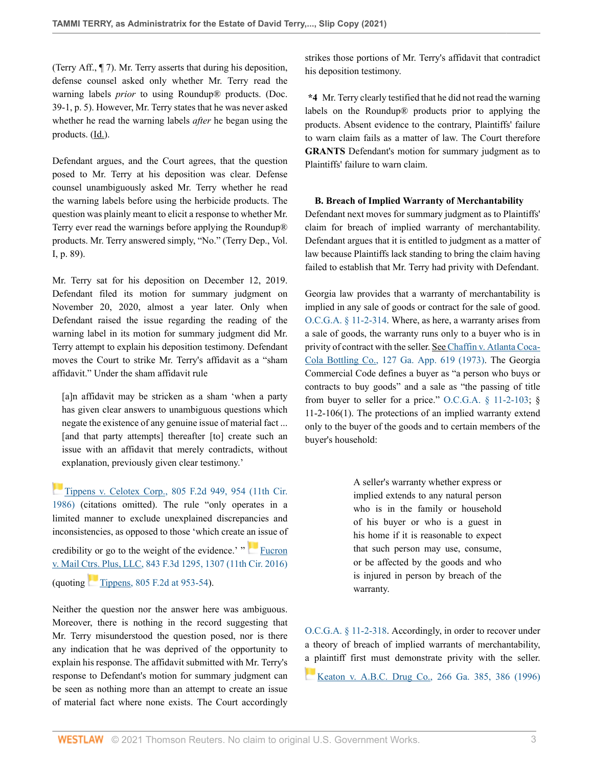(Terry Aff., ¶ 7). Mr. Terry asserts that during his deposition, defense counsel asked only whether Mr. Terry read the warning labels *prior* to using Roundup® products. (Doc. 39-1, p. 5). However, Mr. Terry states that he was never asked whether he read the warning labels *after* he began using the products. (Id.).

Defendant argues, and the Court agrees, that the question posed to Mr. Terry at his deposition was clear. Defense counsel unambiguously asked Mr. Terry whether he read the warning labels before using the herbicide products. The question was plainly meant to elicit a response to whether Mr. Terry ever read the warnings before applying the Roundup® products. Mr. Terry answered simply, "No." (Terry Dep., Vol. I, p. 89).

Mr. Terry sat for his deposition on December 12, 2019. Defendant filed its motion for summary judgment on November 20, 2020, almost a year later. Only when Defendant raised the issue regarding the reading of the warning label in its motion for summary judgment did Mr. Terry attempt to explain his deposition testimony. Defendant moves the Court to strike Mr. Terry's affidavit as a "sham affidavit." Under the sham affidavit rule

[a]n affidavit may be stricken as a sham 'when a party has given clear answers to unambiguous questions which negate the existence of any genuine issue of material fact ... [and that party attempts] thereafter [to] create such an issue with an affidavit that merely contradicts, without explanation, previously given clear testimony.'

[Tippens v. Celotex Corp., 805 F.2d 949, 954 \(11th Cir.](http://www.westlaw.com/Link/Document/FullText?findType=Y&serNum=1986157169&pubNum=0000350&originatingDoc=I702b22d0226111ec8937b98eb322286f&refType=RP&fi=co_pp_sp_350_954&originationContext=document&vr=3.0&rs=cblt1.0&transitionType=DocumentItem&contextData=(sc.Search)#co_pp_sp_350_954) [1986\)](http://www.westlaw.com/Link/Document/FullText?findType=Y&serNum=1986157169&pubNum=0000350&originatingDoc=I702b22d0226111ec8937b98eb322286f&refType=RP&fi=co_pp_sp_350_954&originationContext=document&vr=3.0&rs=cblt1.0&transitionType=DocumentItem&contextData=(sc.Search)#co_pp_sp_350_954) (citations omitted). The rule "only operates in a limited manner to exclude unexplained discrepancies and inconsistencies, as opposed to those 'which create an issue of credibility or go to the weight of the evidence.' " [Fucron](http://www.westlaw.com/Link/Document/FullText?findType=Y&serNum=2040539420&pubNum=0000506&originatingDoc=I702b22d0226111ec8937b98eb322286f&refType=RP&fi=co_pp_sp_506_1307&originationContext=document&vr=3.0&rs=cblt1.0&transitionType=DocumentItem&contextData=(sc.Search)#co_pp_sp_506_1307) [v. Mail Ctrs. Plus, LLC, 843 F.3d 1295, 1307 \(11th Cir. 2016\)](http://www.westlaw.com/Link/Document/FullText?findType=Y&serNum=2040539420&pubNum=0000506&originatingDoc=I702b22d0226111ec8937b98eb322286f&refType=RP&fi=co_pp_sp_506_1307&originationContext=document&vr=3.0&rs=cblt1.0&transitionType=DocumentItem&contextData=(sc.Search)#co_pp_sp_506_1307) (quoting $Tippens$ , 805 F.2d at 953-54).

Neither the question nor the answer here was ambiguous. Moreover, there is nothing in the record suggesting that Mr. Terry misunderstood the question posed, nor is there any indication that he was deprived of the opportunity to explain his response. The affidavit submitted with Mr. Terry's response to Defendant's motion for summary judgment can be seen as nothing more than an attempt to create an issue of material fact where none exists. The Court accordingly

strikes those portions of Mr. Terry's affidavit that contradict his deposition testimony.

**\*4** Mr. Terry clearly testified that he did not read the warning labels on the Roundup® products prior to applying the products. Absent evidence to the contrary, Plaintiffs' failure to warn claim fails as a matter of law. The Court therefore **GRANTS** Defendant's motion for summary judgment as to Plaintiffs' failure to warn claim.

# **B. Breach of Implied Warranty of Merchantability**

Defendant next moves for summary judgment as to Plaintiffs' claim for breach of implied warranty of merchantability. Defendant argues that it is entitled to judgment as a matter of law because Plaintiffs lack standing to bring the claim having failed to establish that Mr. Terry had privity with Defendant.

Georgia law provides that a warranty of merchantability is implied in any sale of goods or contract for the sale of good. [O.C.G.A. § 11-2-314](http://www.westlaw.com/Link/Document/FullText?findType=L&pubNum=1000468&cite=GAST11-2-314&originatingDoc=I702b22d0226111ec8937b98eb322286f&refType=LQ&originationContext=document&vr=3.0&rs=cblt1.0&transitionType=DocumentItem&contextData=(sc.Search)). Where, as here, a warranty arises from a sale of goods, the warranty runs only to a buyer who is in privity of contract with the seller. See [Chaffin v. Atlanta Coca-](http://www.westlaw.com/Link/Document/FullText?findType=Y&serNum=1972129700&pubNum=0000360&originatingDoc=I702b22d0226111ec8937b98eb322286f&refType=RP&originationContext=document&vr=3.0&rs=cblt1.0&transitionType=DocumentItem&contextData=(sc.Search))[Cola Bottling Co., 127 Ga. App. 619 \(1973\)](http://www.westlaw.com/Link/Document/FullText?findType=Y&serNum=1972129700&pubNum=0000360&originatingDoc=I702b22d0226111ec8937b98eb322286f&refType=RP&originationContext=document&vr=3.0&rs=cblt1.0&transitionType=DocumentItem&contextData=(sc.Search)). The Georgia Commercial Code defines a buyer as "a person who buys or contracts to buy goods" and a sale as "the passing of title from buyer to seller for a price." O.C.G.A.  $\S$  11-2-103;  $\S$ 11-2-106(1). The protections of an implied warranty extend only to the buyer of the goods and to certain members of the buyer's household:

> A seller's warranty whether express or implied extends to any natural person who is in the family or household of his buyer or who is a guest in his home if it is reasonable to expect that such person may use, consume, or be affected by the goods and who is injured in person by breach of the warranty.

[O.C.G.A. § 11-2-318.](http://www.westlaw.com/Link/Document/FullText?findType=L&pubNum=1000468&cite=GAST11-2-318&originatingDoc=I702b22d0226111ec8937b98eb322286f&refType=LQ&originationContext=document&vr=3.0&rs=cblt1.0&transitionType=DocumentItem&contextData=(sc.Search)) Accordingly, in order to recover under a theory of breach of implied warrants of merchantability, [a p](https://1.next.westlaw.com/Link/RelatedInformation/Flag?documentGuid=I6058a3d1038011da8ac8f235252e36df&transitionType=InlineKeyCiteFlags&originationContext=docHeaderFlag&Rank=0&ppcid=1533d54308df4755a3b1437aae9fc4bf&contextData=(sc.Search) )laintiff first must demonstrate privity with the seller.

[Keaton v. A.B.C. Drug Co., 266 Ga. 385, 386 \(1996\)](http://www.westlaw.com/Link/Document/FullText?findType=Y&serNum=1996067298&pubNum=0000359&originatingDoc=I702b22d0226111ec8937b98eb322286f&refType=RP&fi=co_pp_sp_359_386&originationContext=document&vr=3.0&rs=cblt1.0&transitionType=DocumentItem&contextData=(sc.Search)#co_pp_sp_359_386)